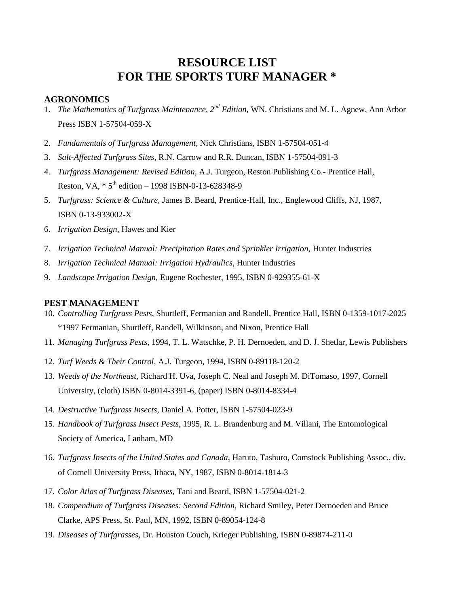# **RESOURCE LIST FOR THE SPORTS TURF MANAGER \***

### **AGRONOMICS**

- 1. *The Mathematics of Turfgrass Maintenance, 2nd Edition,* WN. Christians and M. L. Agnew, Ann Arbor Press ISBN 1-57504-059-X
- 2. *Fundamentals of Turfgrass Management,* Nick Christians, ISBN 1-57504-051-4
- 3. *Salt-Affected Turfgrass Sites,* R.N. Carrow and R.R. Duncan, ISBN 1-57504-091-3
- 4. *Turfgrass Management: Revised Edition,* A.J. Turgeon, Reston Publishing Co.- Prentice Hall, Reston, VA,  $* 5<sup>th</sup>$  edition – 1998 ISBN-0-13-628348-9
- 5. *Turfgrass: Science & Culture,* James B. Beard, Prentice-Hall, Inc., Englewood Cliffs, NJ, 1987, ISBN 0-13-933002-X
- 6. *Irrigation Design,* Hawes and Kier
- 7. *Irrigation Technical Manual: Precipitation Rates and Sprinkler Irrigation, Hunter Industries*
- 8. *Irrigation Technical Manual: Irrigation Hydraulics,* Hunter Industries
- 9. *Landscape Irrigation Design,* Eugene Rochester, 1995, ISBN 0-929355-61-X

#### **PEST MANAGEMENT**

- 10. *Controlling Turfgrass Pests,* Shurtleff, Fermanian and Randell, Prentice Hall, ISBN 0-1359-1017-2025 \*1997 Fermanian, Shurtleff, Randell, Wilkinson, and Nixon, Prentice Hall
- 11. *Managing Turfgrass Pests,* 1994, T. L. Watschke, P. H. Dernoeden, and D. J. Shetlar, Lewis Publishers
- 12. *Turf Weeds & Their Control,* A.J. Turgeon, 1994, ISBN 0-89118-120-2
- 13. *Weeds of the Northeast,* Richard H. Uva, Joseph C. Neal and Joseph M. DiTomaso, 1997, Cornell University, (cloth) ISBN 0-8014-3391-6, (paper) ISBN 0-8014-8334-4
- 14. *Destructive Turfgrass Insects,* Daniel A*.* Potter, ISBN 1-57504-023-9
- 15. *Handbook of Turfgrass Insect Pests,* 1995, R. L. Brandenburg and M. Villani, The Entomological Society of America, Lanham, MD
- 16. *Turfgrass Insects of the United States and Canada,* Haruto, Tashuro, Comstock Publishing Assoc., div. of Cornell University Press, Ithaca, NY, 1987, ISBN 0-8014-1814-3
- 17. *Color Atlas of Turfgrass Diseases,* Tani and Beard, ISBN 1-57504-021-2
- 18. *Compendium of Turfgrass Diseases: Second Edition,* Richard Smiley, Peter Dernoeden and Bruce Clarke, APS Press, St. Paul, MN, 1992, ISBN 0-89054-124-8
- 19. *Diseases of Turfgrasses,* Dr. Houston Couch, Krieger Publishing, ISBN 0-89874-211-0